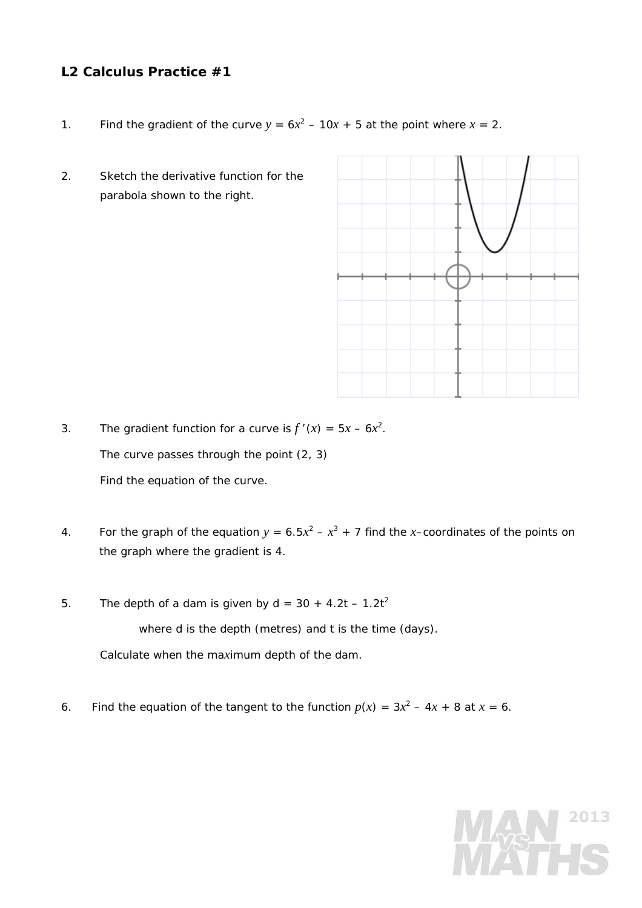## **L2 Calculus Practice #1**

- 1. Find the gradient of the curve  $y = 6x^2 10x + 5$  at the point where  $x = 2$ .
- 2. Sketch the derivative function for the parabola shown to the right.



3. The gradient function for a curve is  $f'(x) = 5x - 6x^2$ . The curve passes through the point (2, 3) Find the equation of the curve.

- 4. For the graph of the equation  $y = 6.5x^2 x^3 + 7$  find the *x*-coordinates of the points on the graph where the gradient is 4.
- 5. The depth of a dam is given by  $d = 30 + 4.2t 1.2t^2$

where *d* is the depth (metres) and *t* is the time (days).

Calculate when the ma*x*imum depth of the dam.

6. Find the equation of the tangent to the function  $p(x) = 3x^2 - 4x + 8$  at  $x = 6$ .